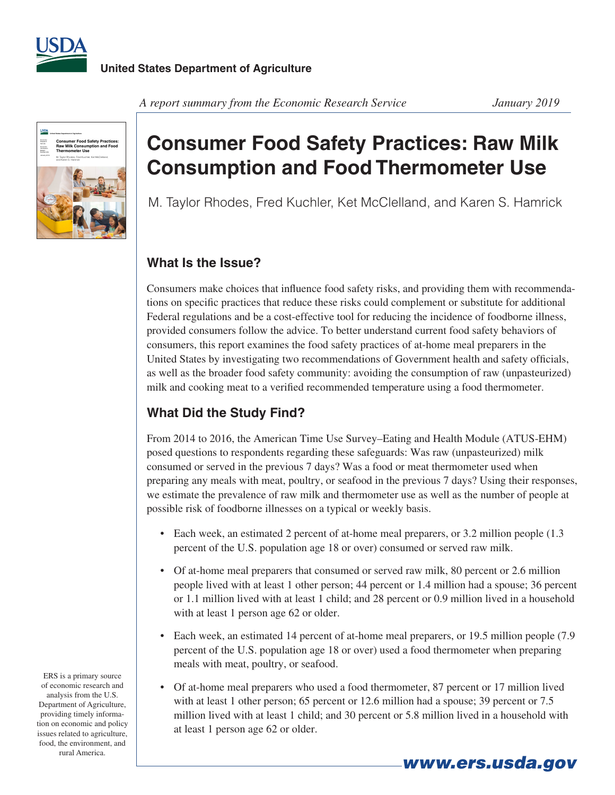



#### *A report summary from the Economic Research Service January 2019*

# **Consumer Food Safety Practices: Raw Milk Consumption and Food Thermometer Use**

M. Taylor Rhodes, Fred Kuchler, Ket McClelland, and Karen S. Hamrick

### **What Is the Issue?**

Consumers make choices that influence food safety risks, and providing them with recommendations on specific practices that reduce these risks could complement or substitute for additional Federal regulations and be a cost-effective tool for reducing the incidence of foodborne illness, provided consumers follow the advice. To better understand current food safety behaviors of consumers, this report examines the food safety practices of at-home meal preparers in the United States by investigating two recommendations of Government health and safety officials, as well as the broader food safety community: avoiding the consumption of raw (unpasteurized) milk and cooking meat to a verified recommended temperature using a food thermometer.

## **What Did the Study Find?**

From 2014 to 2016, the American Time Use Survey–Eating and Health Module (ATUS-EHM) posed questions to respondents regarding these safeguards: Was raw (unpasteurized) milk consumed or served in the previous 7 days? Was a food or meat thermometer used when preparing any meals with meat, poultry, or seafood in the previous 7 days? Using their responses, we estimate the prevalence of raw milk and thermometer use as well as the number of people at possible risk of foodborne illnesses on a typical or weekly basis.

- Each week, an estimated 2 percent of at-home meal preparers, or 3.2 million people (1.3) percent of the U.S. population age 18 or over) consumed or served raw milk.
- Of at-home meal preparers that consumed or served raw milk, 80 percent or 2.6 million people lived with at least 1 other person; 44 percent or 1.4 million had a spouse; 36 percent or 1.1 million lived with at least 1 child; and 28 percent or 0.9 million lived in a household with at least 1 person age 62 or older.
- Each week, an estimated 14 percent of at-home meal preparers, or 19.5 million people (7.9) percent of the U.S. population age 18 or over) used a food thermometer when preparing meals with meat, poultry, or seafood.
- Of at-home meal preparers who used a food thermometer, 87 percent or 17 million lived with at least 1 other person; 65 percent or 12.6 million had a spouse; 39 percent or 7.5 million lived with at least 1 child; and 30 percent or 5.8 million lived in a household with at least 1 person age 62 or older.

*www.ers.usda.gov*

ERS is a primary source of economic research and analysis from the U.S. Department of Agriculture, providing timely information on economic and policy issues related to agriculture, food, the environment, and rural America.